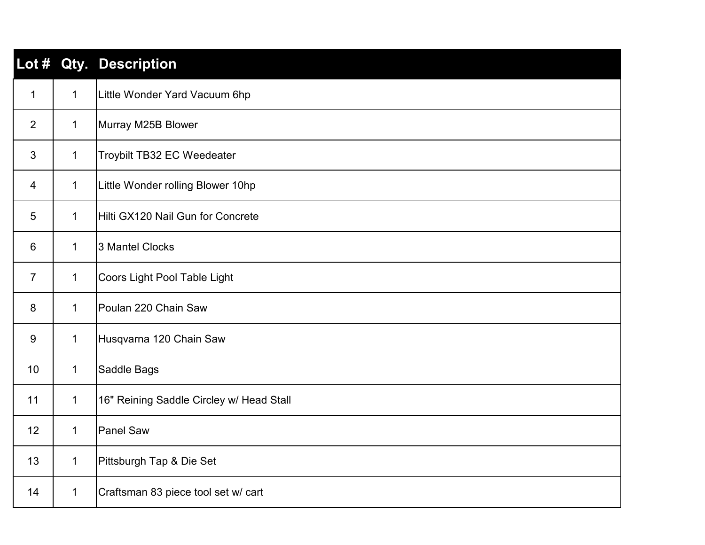|                |              | Lot # Qty. Description                   |
|----------------|--------------|------------------------------------------|
| $\mathbf{1}$   | $\mathbf{1}$ | Little Wonder Yard Vacuum 6hp            |
| $\overline{2}$ | $\mathbf{1}$ | Murray M25B Blower                       |
| 3              | $\mathbf{1}$ | Troybilt TB32 EC Weedeater               |
| 4              | $\mathbf{1}$ | Little Wonder rolling Blower 10hp        |
| 5              | $\mathbf 1$  | Hilti GX120 Nail Gun for Concrete        |
| $6\,$          | $\mathbf 1$  | 3 Mantel Clocks                          |
| $\overline{7}$ | $\mathbf{1}$ | Coors Light Pool Table Light             |
| 8              | $\mathbf{1}$ | Poulan 220 Chain Saw                     |
| 9              | $\mathbf{1}$ | Husqvarna 120 Chain Saw                  |
| 10             | $\mathbf{1}$ | Saddle Bags                              |
| 11             | $\mathbf 1$  | 16" Reining Saddle Circley w/ Head Stall |
| 12             | $\mathbf{1}$ | <b>Panel Saw</b>                         |
| 13             | $\mathbf{1}$ | Pittsburgh Tap & Die Set                 |
| 14             | $\mathbf{1}$ | Craftsman 83 piece tool set w/ cart      |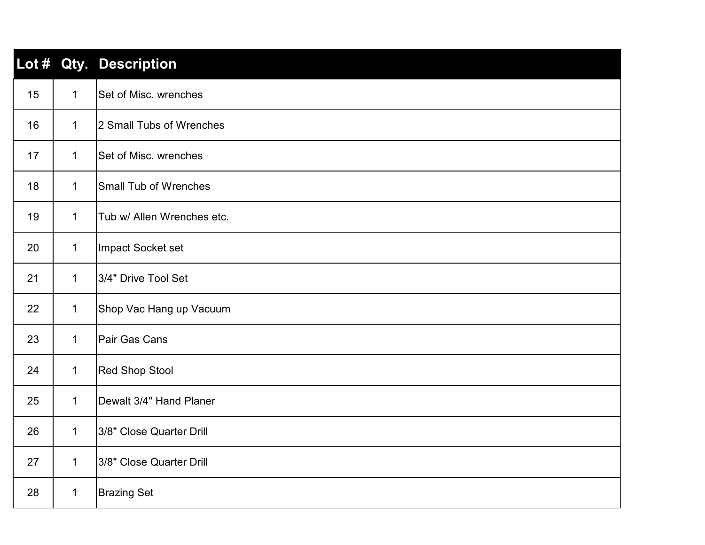|    |              | Lot # Qty. Description       |
|----|--------------|------------------------------|
| 15 | $\mathbf 1$  | Set of Misc. wrenches        |
| 16 | $\mathbf{1}$ | 2 Small Tubs of Wrenches     |
| 17 | $\mathbf{1}$ | Set of Misc. wrenches        |
| 18 | $\mathbf 1$  | <b>Small Tub of Wrenches</b> |
| 19 | $\mathbf 1$  | Tub w/ Allen Wrenches etc.   |
| 20 | $\mathbf 1$  | Impact Socket set            |
| 21 | $\mathbf 1$  | 3/4" Drive Tool Set          |
| 22 | $\mathbf 1$  | Shop Vac Hang up Vacuum      |
| 23 | $\mathbf 1$  | Pair Gas Cans                |
| 24 | $\mathbf 1$  | <b>Red Shop Stool</b>        |
| 25 | $\mathbf 1$  | Dewalt 3/4" Hand Planer      |
| 26 | $\mathbf 1$  | 3/8" Close Quarter Drill     |
| 27 | $\mathbf 1$  | 3/8" Close Quarter Drill     |
| 28 | 1            | <b>Brazing Set</b>           |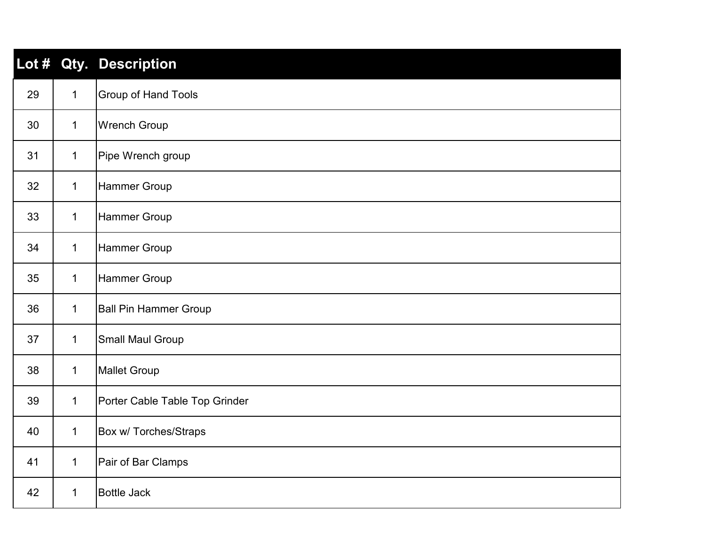| Lot $#$ |              | Qty. Description               |
|---------|--------------|--------------------------------|
| 29      | $\mathbf{1}$ | <b>Group of Hand Tools</b>     |
| 30      | $\mathbf{1}$ | <b>Wrench Group</b>            |
| 31      | $\mathbf 1$  | Pipe Wrench group              |
| 32      | $\mathbf{1}$ | Hammer Group                   |
| 33      | $\mathbf 1$  | <b>Hammer Group</b>            |
| 34      | $\mathbf 1$  | <b>Hammer Group</b>            |
| 35      | $\mathbf 1$  | <b>Hammer Group</b>            |
| 36      | $\mathbf{1}$ | <b>Ball Pin Hammer Group</b>   |
| 37      | $\mathbf{1}$ | Small Maul Group               |
| 38      | $\mathbf{1}$ | <b>Mallet Group</b>            |
| 39      | $\mathbf 1$  | Porter Cable Table Top Grinder |
| 40      | $\mathbf{1}$ | <b>Box w/ Torches/Straps</b>   |
| 41      | $\mathbf{1}$ | Pair of Bar Clamps             |
| 42      | $\mathbf 1$  | <b>Bottle Jack</b>             |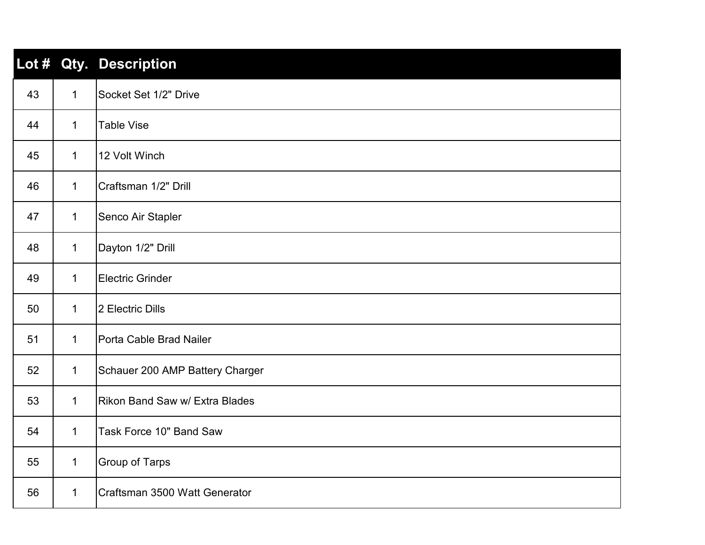|    |              | Lot # Qty. Description          |
|----|--------------|---------------------------------|
| 43 | $\mathbf 1$  | Socket Set 1/2" Drive           |
| 44 | $\mathbf{1}$ | <b>Table Vise</b>               |
| 45 | $\mathbf 1$  | 12 Volt Winch                   |
| 46 | $\mathbf 1$  | Craftsman 1/2" Drill            |
| 47 | $\mathbf 1$  | Senco Air Stapler               |
| 48 | $\mathbf 1$  | Dayton 1/2" Drill               |
| 49 | $\mathbf 1$  | Electric Grinder                |
| 50 | $\mathbf 1$  | 2 Electric Dills                |
| 51 | $\mathbf 1$  | Porta Cable Brad Nailer         |
| 52 | $\mathbf 1$  | Schauer 200 AMP Battery Charger |
| 53 | $\mathbf 1$  | Rikon Band Saw w/ Extra Blades  |
| 54 | $\mathbf 1$  | Task Force 10" Band Saw         |
| 55 | $\mathbf 1$  | <b>Group of Tarps</b>           |
| 56 | $\mathbf 1$  | Craftsman 3500 Watt Generator   |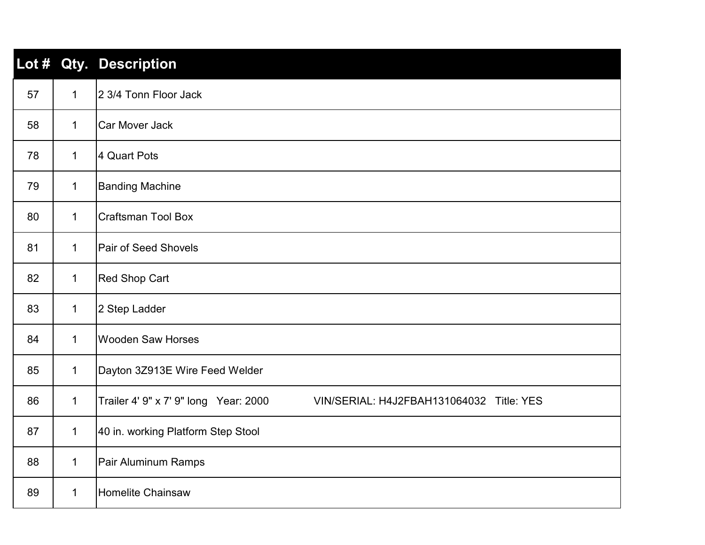| Lot # |              | <b>Qty. Description</b>                                                           |
|-------|--------------|-----------------------------------------------------------------------------------|
| 57    | $\mathbf{1}$ | 2 3/4 Tonn Floor Jack                                                             |
| 58    | $\mathbf{1}$ | <b>Car Mover Jack</b>                                                             |
| 78    | $\mathbf 1$  | 4 Quart Pots                                                                      |
| 79    | $\mathbf{1}$ | <b>Banding Machine</b>                                                            |
| 80    | $\mathbf 1$  | <b>Craftsman Tool Box</b>                                                         |
| 81    | $\mathbf 1$  | <b>Pair of Seed Shovels</b>                                                       |
| 82    | $\mathbf{1}$ | <b>Red Shop Cart</b>                                                              |
| 83    | $\mathbf{1}$ | 2 Step Ladder                                                                     |
| 84    | $\mathbf 1$  | <b>Wooden Saw Horses</b>                                                          |
| 85    | $\mathbf{1}$ | Dayton 3Z913E Wire Feed Welder                                                    |
| 86    | $\mathbf{1}$ | Trailer 4' 9" x 7' 9" long Year: 2000<br>VIN/SERIAL: H4J2FBAH131064032 Title: YES |
| 87    | $\mathbf{1}$ | 40 in. working Platform Step Stool                                                |
| 88    | $\mathbf{1}$ | Pair Aluminum Ramps                                                               |
| 89    | $\mathbf 1$  | <b>Homelite Chainsaw</b>                                                          |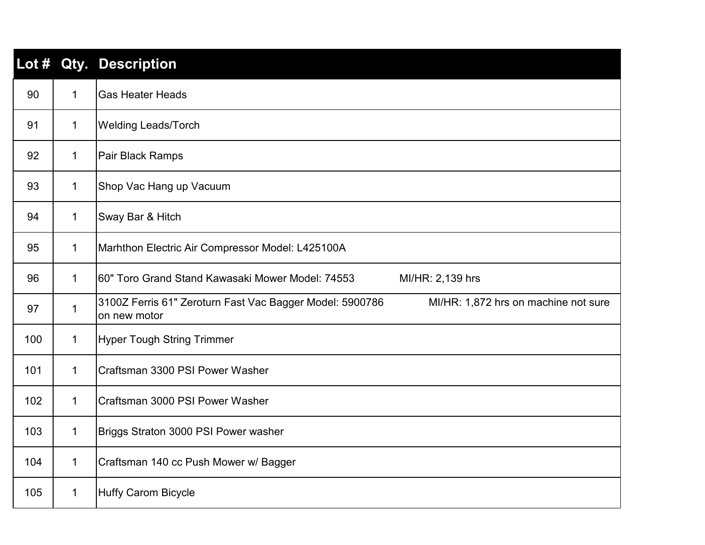| Lot # |              | <b>Qty. Description</b>                                                                                          |
|-------|--------------|------------------------------------------------------------------------------------------------------------------|
| 90    | $\mathbf{1}$ | <b>Gas Heater Heads</b>                                                                                          |
| 91    | 1            | <b>Welding Leads/Torch</b>                                                                                       |
| 92    | 1            | Pair Black Ramps                                                                                                 |
| 93    | 1            | Shop Vac Hang up Vacuum                                                                                          |
| 94    | 1            | Sway Bar & Hitch                                                                                                 |
| 95    | 1            | Marhthon Electric Air Compressor Model: L425100A                                                                 |
| 96    | 1            | 60" Toro Grand Stand Kawasaki Mower Model: 74553<br>MI/HR: 2,139 hrs                                             |
| 97    | $\mathbf{1}$ | 3100Z Ferris 61" Zeroturn Fast Vac Bagger Model: 5900786<br>MI/HR: 1,872 hrs on machine not sure<br>on new motor |
| 100   | $\mathbf 1$  | <b>Hyper Tough String Trimmer</b>                                                                                |
| 101   | $\mathbf 1$  | Craftsman 3300 PSI Power Washer                                                                                  |
| 102   | $\mathbf 1$  | Craftsman 3000 PSI Power Washer                                                                                  |
| 103   | 1            | Briggs Straton 3000 PSI Power washer                                                                             |
| 104   | 1            | Craftsman 140 cc Push Mower w/ Bagger                                                                            |
| 105   | 1            | <b>Huffy Carom Bicycle</b>                                                                                       |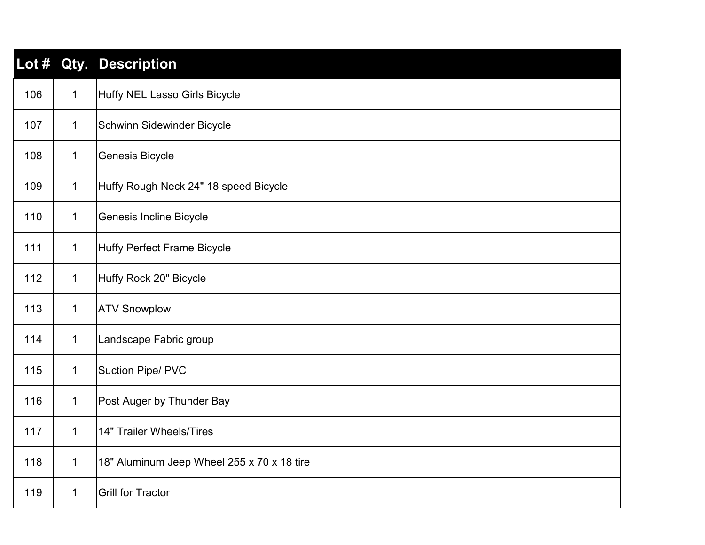| Lot # |              | <b>Qty. Description</b>                    |
|-------|--------------|--------------------------------------------|
| 106   | $\mathbf{1}$ | <b>Huffy NEL Lasso Girls Bicycle</b>       |
| 107   | $\mathbf 1$  | Schwinn Sidewinder Bicycle                 |
| 108   | $\mathbf 1$  | Genesis Bicycle                            |
| 109   | 1            | Huffy Rough Neck 24" 18 speed Bicycle      |
| 110   | $\mathbf 1$  | <b>Genesis Incline Bicycle</b>             |
| 111   | $\mathbf 1$  | <b>Huffy Perfect Frame Bicycle</b>         |
| 112   | $\mathbf 1$  | Huffy Rock 20" Bicycle                     |
| 113   | 1            | <b>ATV Snowplow</b>                        |
| 114   | $\mathbf 1$  | Landscape Fabric group                     |
| 115   | 1            | <b>Suction Pipe/ PVC</b>                   |
| 116   | 1            | Post Auger by Thunder Bay                  |
| 117   | $\mathbf 1$  | 14" Trailer Wheels/Tires                   |
| 118   | $\mathbf 1$  | 18" Aluminum Jeep Wheel 255 x 70 x 18 tire |
| 119   | 1            | <b>Grill for Tractor</b>                   |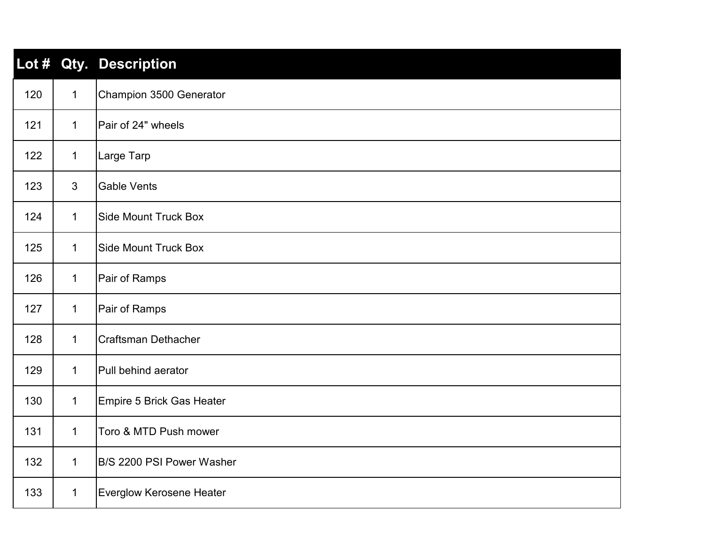|     |                | Lot # Qty. Description          |
|-----|----------------|---------------------------------|
| 120 | $\mathbf{1}$   | Champion 3500 Generator         |
| 121 | $\mathbf{1}$   | Pair of 24" wheels              |
| 122 | $\mathbf{1}$   | Large Tarp                      |
| 123 | $\mathfrak{S}$ | <b>Gable Vents</b>              |
| 124 | $\mathbf 1$    | <b>Side Mount Truck Box</b>     |
| 125 | $\mathbf{1}$   | <b>Side Mount Truck Box</b>     |
| 126 | $\mathbf{1}$   | Pair of Ramps                   |
| 127 | $\mathbf{1}$   | Pair of Ramps                   |
| 128 | $\mathbf{1}$   | <b>Craftsman Dethacher</b>      |
| 129 | $\mathbf{1}$   | Pull behind aerator             |
| 130 | $\mathbf{1}$   | Empire 5 Brick Gas Heater       |
| 131 | $\mathbf{1}$   | Toro & MTD Push mower           |
| 132 | $\mathbf{1}$   | B/S 2200 PSI Power Washer       |
| 133 | $\mathbf{1}$   | <b>Everglow Kerosene Heater</b> |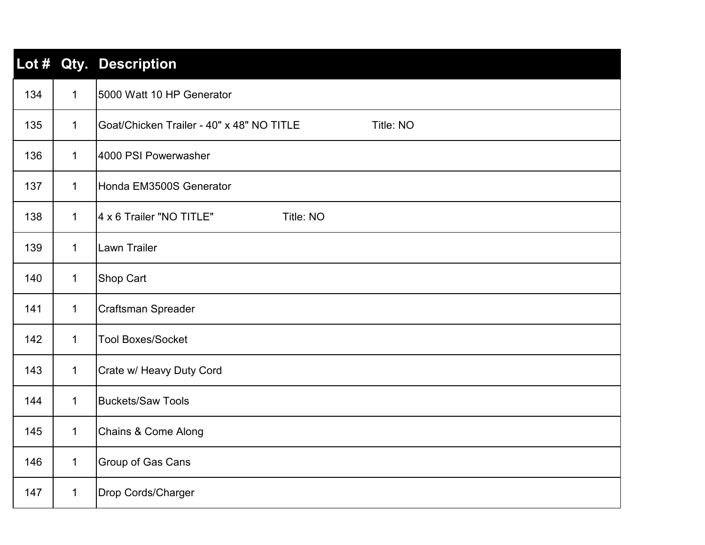| Lot # |              | Qty. Description                                       |
|-------|--------------|--------------------------------------------------------|
| 134   | $\mathbf{1}$ | 5000 Watt 10 HP Generator                              |
| 135   | $\mathbf{1}$ | Goat/Chicken Trailer - 40" x 48" NO TITLE<br>Title: NO |
| 136   | $\mathbf 1$  | 4000 PSI Powerwasher                                   |
| 137   | $\mathbf{1}$ | Honda EM3500S Generator                                |
| 138   | $\mathbf 1$  | 4 x 6 Trailer "NO TITLE"<br>Title: NO                  |
| 139   | $\mathbf{1}$ | <b>Lawn Trailer</b>                                    |
| 140   | $\mathbf{1}$ | <b>Shop Cart</b>                                       |
| 141   | $\mathbf{1}$ | Craftsman Spreader                                     |
| 142   | $\mathbf 1$  | <b>Tool Boxes/Socket</b>                               |
| 143   | $\mathbf{1}$ | Crate w/ Heavy Duty Cord                               |
| 144   | $\mathbf{1}$ | <b>Buckets/Saw Tools</b>                               |
| 145   | $\mathbf 1$  | <b>Chains &amp; Come Along</b>                         |
| 146   | $\mathbf{1}$ | <b>Group of Gas Cans</b>                               |
| 147   | $\mathbf{1}$ | Drop Cords/Charger                                     |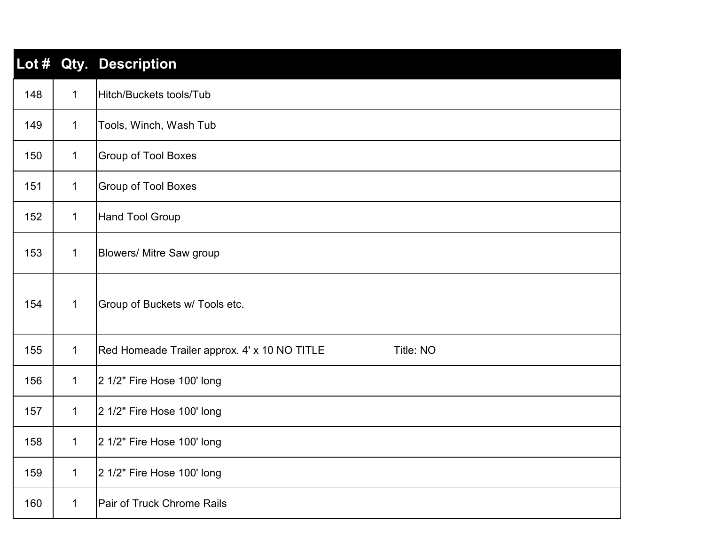| Lot $#$ |              | <b>Qty. Description</b>                                   |
|---------|--------------|-----------------------------------------------------------|
| 148     | $\mathbf 1$  | Hitch/Buckets tools/Tub                                   |
| 149     | $\mathbf{1}$ | Tools, Winch, Wash Tub                                    |
| 150     | $\mathbf{1}$ | <b>Group of Tool Boxes</b>                                |
| 151     | $\mathbf{1}$ | <b>Group of Tool Boxes</b>                                |
| 152     | 1            | <b>Hand Tool Group</b>                                    |
| 153     | $\mathbf{1}$ | <b>Blowers/ Mitre Saw group</b>                           |
| 154     | $\mathbf 1$  | Group of Buckets w/ Tools etc.                            |
| 155     | $\mathbf{1}$ | Red Homeade Trailer approx. 4' x 10 NO TITLE<br>Title: NO |
| 156     | $\mathbf{1}$ | 2 1/2" Fire Hose 100' long                                |
| 157     | $\mathbf{1}$ | 2 1/2" Fire Hose 100' long                                |
| 158     | 1            | 2 1/2" Fire Hose 100' long                                |
| 159     | $\mathbf{1}$ | 2 1/2" Fire Hose 100' long                                |
| 160     | $\mathbf 1$  | Pair of Truck Chrome Rails                                |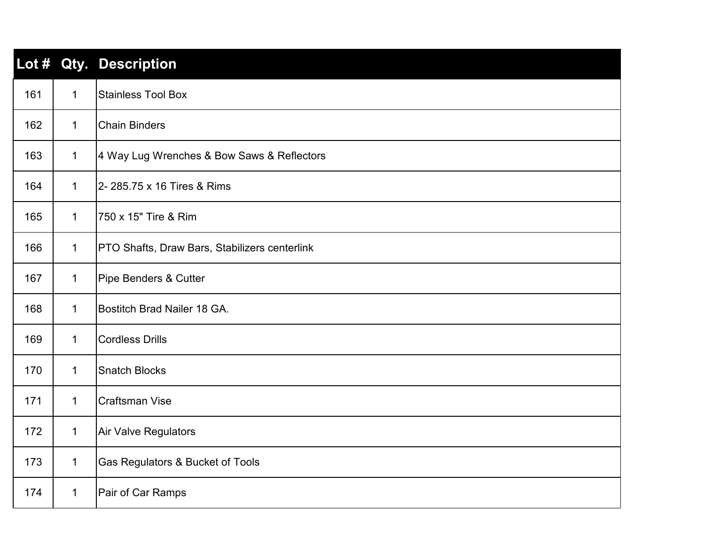| Lot $#$ |              | Qty. Description                              |
|---------|--------------|-----------------------------------------------|
| 161     | $\mathbf{1}$ | <b>Stainless Tool Box</b>                     |
| 162     | $\mathbf 1$  | <b>Chain Binders</b>                          |
| 163     | $\mathbf{1}$ | 4 Way Lug Wrenches & Bow Saws & Reflectors    |
| 164     | $\mathbf{1}$ | 2- 285.75 x 16 Tires & Rims                   |
| 165     | $\mathbf 1$  | 750 x 15" Tire & Rim                          |
| 166     | $\mathbf{1}$ | PTO Shafts, Draw Bars, Stabilizers centerlink |
| 167     | $\mathbf{1}$ | Pipe Benders & Cutter                         |
| 168     | $\mathbf{1}$ | Bostitch Brad Nailer 18 GA.                   |
| 169     | $\mathbf{1}$ | <b>Cordless Drills</b>                        |
| 170     | $\mathbf{1}$ | <b>Snatch Blocks</b>                          |
| 171     | $\mathbf 1$  | <b>Craftsman Vise</b>                         |
| 172     | $\mathbf{1}$ | Air Valve Regulators                          |
| 173     | $\mathbf{1}$ | Gas Regulators & Bucket of Tools              |
| 174     | $\mathbf{1}$ | Pair of Car Ramps                             |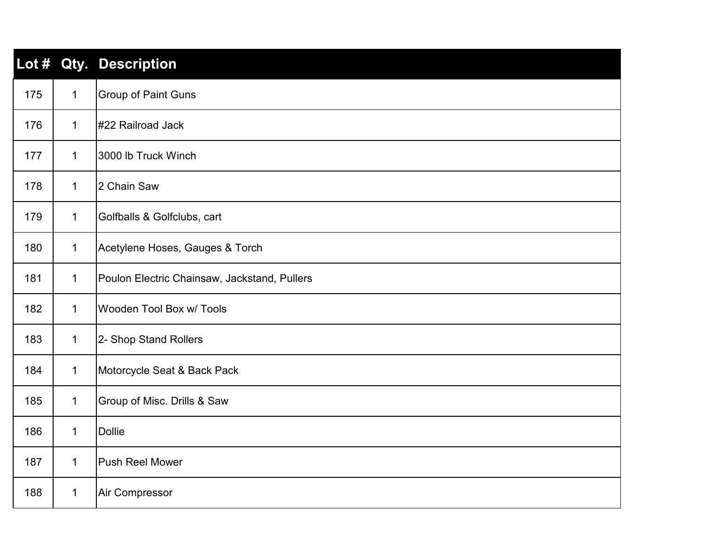| Lot $#$ |              | Qty. Description                             |
|---------|--------------|----------------------------------------------|
| 175     | $\mathbf{1}$ | <b>Group of Paint Guns</b>                   |
| 176     | $\mathbf{1}$ | #22 Railroad Jack                            |
| 177     | $\mathbf{1}$ | 3000 lb Truck Winch                          |
| 178     | $\mathbf{1}$ | 2 Chain Saw                                  |
| 179     | $\mathbf{1}$ | Golfballs & Golfclubs, cart                  |
| 180     | $\mathbf{1}$ | Acetylene Hoses, Gauges & Torch              |
| 181     | $\mathbf{1}$ | Poulon Electric Chainsaw, Jackstand, Pullers |
| 182     | $\mathbf{1}$ | <b>Wooden Tool Box w/ Tools</b>              |
| 183     | $\mathbf{1}$ | 2- Shop Stand Rollers                        |
| 184     | $\mathbf{1}$ | Motorcycle Seat & Back Pack                  |
| 185     | $\mathbf{1}$ | Group of Misc. Drills & Saw                  |
| 186     | $\mathbf{1}$ | <b>Dollie</b>                                |
| 187     | $\mathbf{1}$ | <b>Push Reel Mower</b>                       |
| 188     | $\mathbf{1}$ | Air Compressor                               |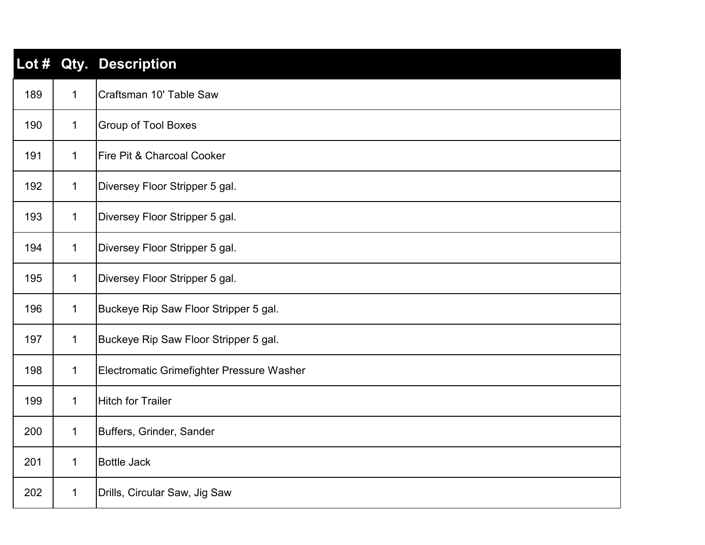| Lot # |             | <b>Qty. Description</b>                   |
|-------|-------------|-------------------------------------------|
| 189   | $\mathbf 1$ | Craftsman 10' Table Saw                   |
| 190   | 1           | <b>Group of Tool Boxes</b>                |
| 191   | $\mathbf 1$ | <b>Fire Pit &amp; Charcoal Cooker</b>     |
| 192   | $\mathbf 1$ | Diversey Floor Stripper 5 gal.            |
| 193   | $\mathbf 1$ | Diversey Floor Stripper 5 gal.            |
| 194   | $\mathbf 1$ | Diversey Floor Stripper 5 gal.            |
| 195   | $\mathbf 1$ | Diversey Floor Stripper 5 gal.            |
| 196   | 1           | Buckeye Rip Saw Floor Stripper 5 gal.     |
| 197   | 1           | Buckeye Rip Saw Floor Stripper 5 gal.     |
| 198   | $\mathbf 1$ | Electromatic Grimefighter Pressure Washer |
| 199   | 1           | <b>Hitch for Trailer</b>                  |
| 200   | $\mathbf 1$ | Buffers, Grinder, Sander                  |
| 201   | 1           | <b>Bottle Jack</b>                        |
| 202   | 1           | Drills, Circular Saw, Jig Saw             |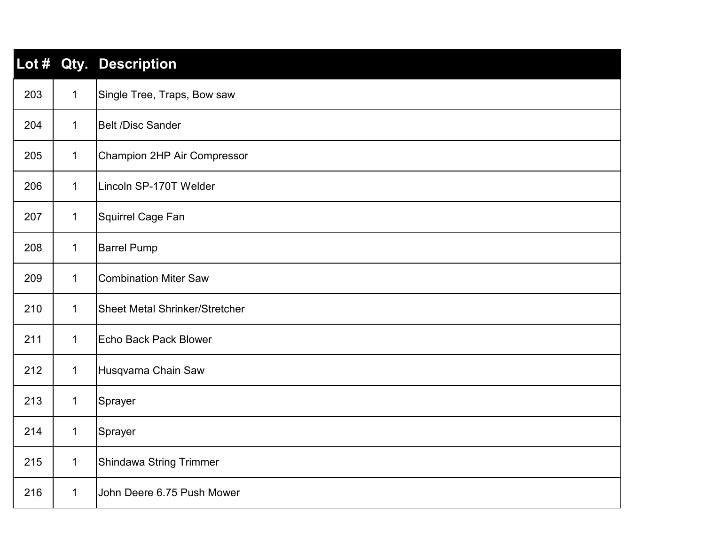| $\mathsf{Lot}~#$ |              | Qty. Description                      |
|------------------|--------------|---------------------------------------|
| 203              | $\mathbf{1}$ | Single Tree, Traps, Bow saw           |
| 204              | $\mathbf{1}$ | <b>Belt /Disc Sander</b>              |
| 205              | $\mathbf{1}$ | Champion 2HP Air Compressor           |
| 206              | $\mathbf{1}$ | Lincoln SP-170T Welder                |
| 207              | $\mathbf{1}$ | Squirrel Cage Fan                     |
| 208              | $\mathbf{1}$ | <b>Barrel Pump</b>                    |
| 209              | $\mathbf 1$  | <b>Combination Miter Saw</b>          |
| 210              | $\mathbf{1}$ | <b>Sheet Metal Shrinker/Stretcher</b> |
| 211              | $\mathbf{1}$ | <b>Echo Back Pack Blower</b>          |
| 212              | $\mathbf{1}$ | Husqvarna Chain Saw                   |
| 213              | $\mathbf{1}$ | Sprayer                               |
| 214              | $\mathbf{1}$ | Sprayer                               |
| 215              | $\mathbf{1}$ | <b>Shindawa String Trimmer</b>        |
| 216              | $\mathbf{1}$ | John Deere 6.75 Push Mower            |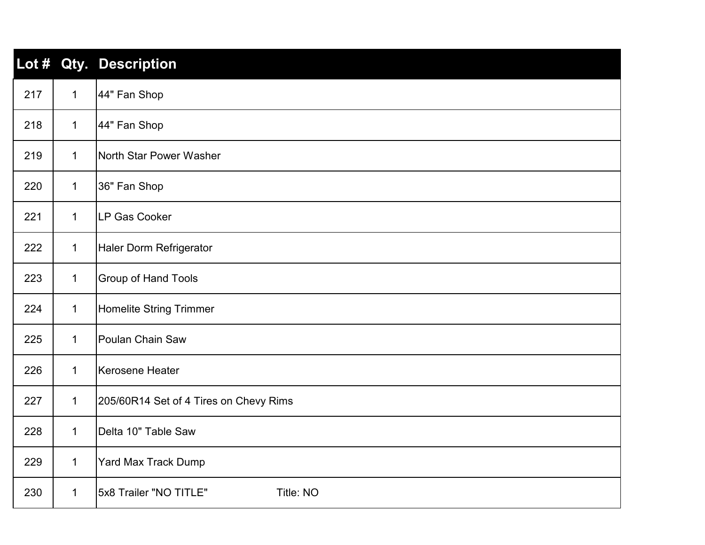| Lot $#$ |              | Qty. Description                       |
|---------|--------------|----------------------------------------|
| 217     | $\mathbf{1}$ | 44" Fan Shop                           |
| 218     | $\mathbf{1}$ | 44" Fan Shop                           |
| 219     | $\mathbf{1}$ | North Star Power Washer                |
| 220     | $\mathbf{1}$ | 36" Fan Shop                           |
| 221     | $\mathbf{1}$ | LP Gas Cooker                          |
| 222     | $\mathbf{1}$ | Haler Dorm Refrigerator                |
| 223     | $\mathbf{1}$ | <b>Group of Hand Tools</b>             |
| 224     | $\mathbf{1}$ | Homelite String Trimmer                |
| 225     | $\mathbf 1$  | Poulan Chain Saw                       |
| 226     | $\mathbf{1}$ | Kerosene Heater                        |
| 227     | $\mathbf{1}$ | 205/60R14 Set of 4 Tires on Chevy Rims |
| 228     | $\mathbf{1}$ | Delta 10" Table Saw                    |
| 229     | $\mathbf{1}$ | <b>Yard Max Track Dump</b>             |
| 230     | $\mathbf 1$  | 5x8 Trailer "NO TITLE"<br>Title: NO    |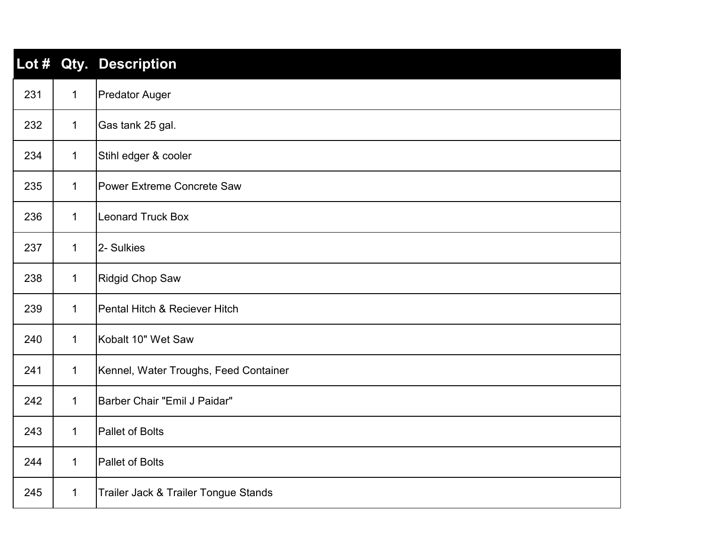| Lot $#$ |              | Qty. Description                      |
|---------|--------------|---------------------------------------|
| 231     | $\mathbf{1}$ | <b>Predator Auger</b>                 |
| 232     | $\mathbf{1}$ | Gas tank 25 gal.                      |
| 234     | $\mathbf{1}$ | Stihl edger & cooler                  |
| 235     | $\mathbf{1}$ | <b>Power Extreme Concrete Saw</b>     |
| 236     | $\mathbf{1}$ | <b>Leonard Truck Box</b>              |
| 237     | $\mathbf{1}$ | 2- Sulkies                            |
| 238     | $\mathbf{1}$ | Ridgid Chop Saw                       |
| 239     | $\mathbf{1}$ | Pental Hitch & Reciever Hitch         |
| 240     | $\mathbf{1}$ | Kobalt 10" Wet Saw                    |
| 241     | $\mathbf{1}$ | Kennel, Water Troughs, Feed Container |
| 242     | $\mathbf{1}$ | Barber Chair "Emil J Paidar"          |
| 243     | $\mathbf{1}$ | <b>Pallet of Bolts</b>                |
| 244     | $\mathbf{1}$ | <b>Pallet of Bolts</b>                |
| 245     | $\mathbf{1}$ | Trailer Jack & Trailer Tongue Stands  |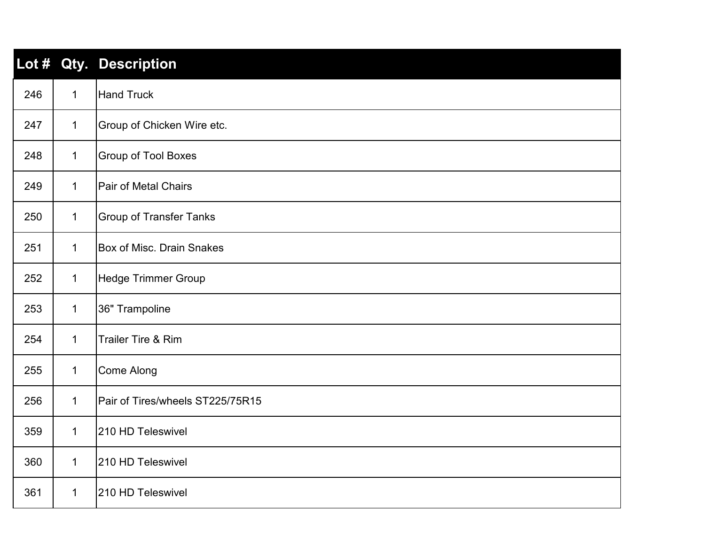| Lot $#$ |              | Qty. Description                 |
|---------|--------------|----------------------------------|
| 246     | $\mathbf 1$  | <b>Hand Truck</b>                |
| 247     | $\mathbf{1}$ | Group of Chicken Wire etc.       |
| 248     | $\mathbf{1}$ | <b>Group of Tool Boxes</b>       |
| 249     | $\mathbf 1$  | <b>Pair of Metal Chairs</b>      |
| 250     | $\mathbf{1}$ | <b>Group of Transfer Tanks</b>   |
| 251     | $\mathbf{1}$ | <b>Box of Misc. Drain Snakes</b> |
| 252     | $\mathbf{1}$ | Hedge Trimmer Group              |
| 253     | $\mathbf{1}$ | 36" Trampoline                   |
| 254     | $\mathbf{1}$ | <b>Trailer Tire &amp; Rim</b>    |
| 255     | $\mathbf{1}$ | Come Along                       |
| 256     | 1            | Pair of Tires/wheels ST225/75R15 |
| 359     | $\mathbf{1}$ | 210 HD Teleswivel                |
| 360     | $\mathbf 1$  | 210 HD Teleswivel                |
| 361     | $\mathbf 1$  | 210 HD Teleswivel                |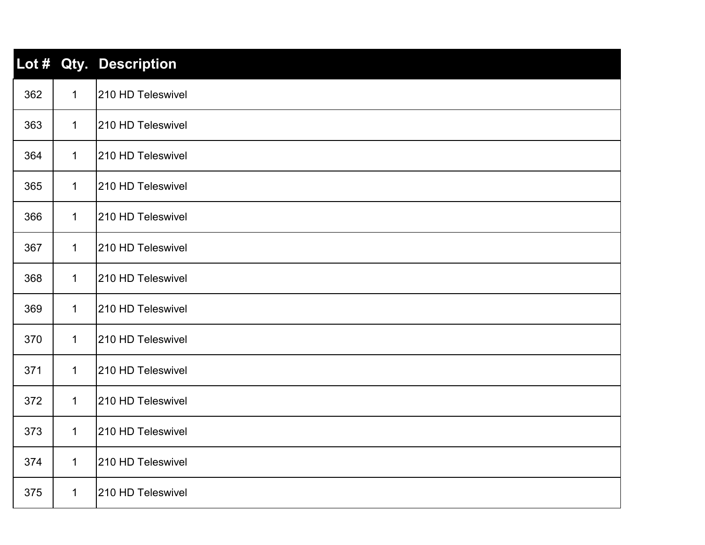| Lot $#$ |              | <b>Qty. Description</b> |
|---------|--------------|-------------------------|
| 362     | $\mathbf 1$  | 210 HD Teleswivel       |
| 363     | $\mathbf{1}$ | 210 HD Teleswivel       |
| 364     | $\mathbf 1$  | 210 HD Teleswivel       |
| 365     | $\mathbf{1}$ | 210 HD Teleswivel       |
| 366     | $\mathbf{1}$ | 210 HD Teleswivel       |
| 367     | $\mathbf 1$  | 210 HD Teleswivel       |
| 368     | $\mathbf{1}$ | 210 HD Teleswivel       |
| 369     | $\mathbf{1}$ | 210 HD Teleswivel       |
| 370     | $\mathbf 1$  | 210 HD Teleswivel       |
| 371     | $\mathbf{1}$ | 210 HD Teleswivel       |
| 372     | $\mathbf{1}$ | 210 HD Teleswivel       |
| 373     | $\mathbf{1}$ | 210 HD Teleswivel       |
| 374     | $\mathbf{1}$ | 210 HD Teleswivel       |
| 375     | $\mathbf{1}$ | 210 HD Teleswivel       |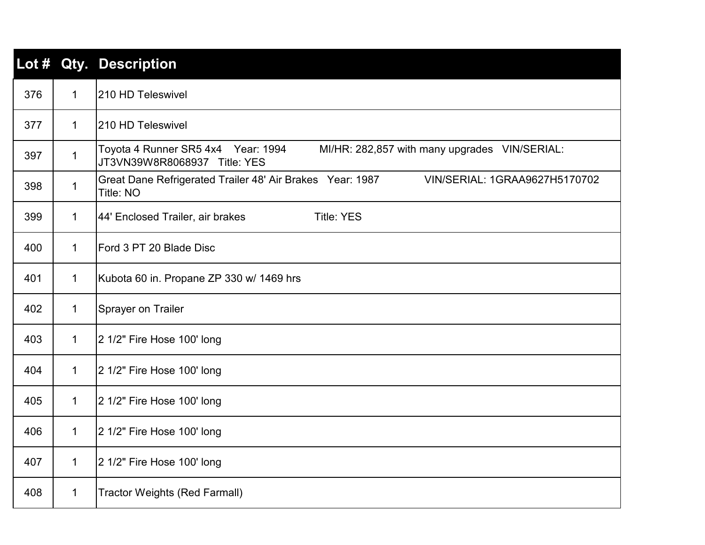| Lot # |              | Qty. Description                                                                                                    |
|-------|--------------|---------------------------------------------------------------------------------------------------------------------|
| 376   | $\mathbf{1}$ | 210 HD Teleswivel                                                                                                   |
| 377   | $\mathbf 1$  | 210 HD Teleswivel                                                                                                   |
| 397   | $\mathbf 1$  | Toyota 4 Runner SR5 4x4 Year: 1994<br>MI/HR: 282,857 with many upgrades VIN/SERIAL:<br>JT3VN39W8R8068937 Title: YES |
| 398   | $\mathbf{1}$ | Great Dane Refrigerated Trailer 48' Air Brakes Year: 1987<br>VIN/SERIAL: 1GRAA9627H5170702<br>Title: NO             |
| 399   | $\mathbf 1$  | 44' Enclosed Trailer, air brakes<br><b>Title: YES</b>                                                               |
| 400   | $\mathbf{1}$ | Ford 3 PT 20 Blade Disc                                                                                             |
| 401   | $\mathbf 1$  | Kubota 60 in. Propane ZP 330 w/ 1469 hrs                                                                            |
| 402   | $\mathbf 1$  | <b>Sprayer on Trailer</b>                                                                                           |
| 403   | $\mathbf 1$  | 2 1/2" Fire Hose 100' long                                                                                          |
| 404   | $\mathbf 1$  | 2 1/2" Fire Hose 100' long                                                                                          |
| 405   | $\mathbf 1$  | 2 1/2" Fire Hose 100' long                                                                                          |
| 406   | $\mathbf{1}$ | 2 1/2" Fire Hose 100' long                                                                                          |
| 407   | $\mathbf 1$  | 2 1/2" Fire Hose 100' long                                                                                          |
| 408   | $\mathbf 1$  | <b>Tractor Weights (Red Farmall)</b>                                                                                |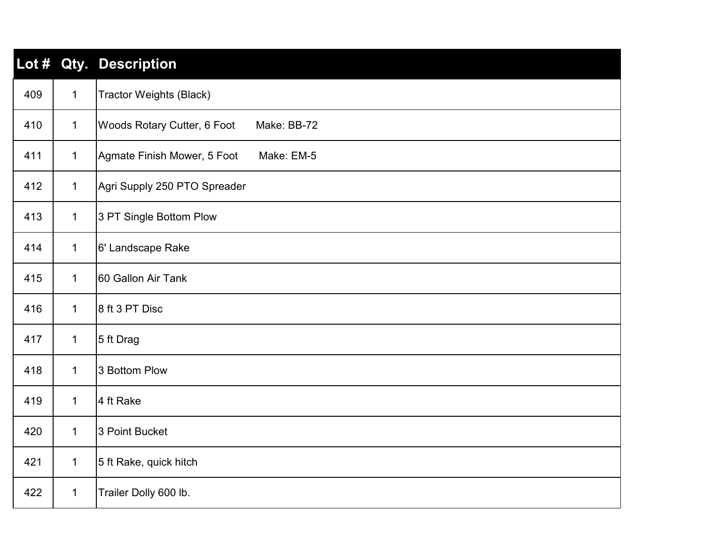| Lot # |              | Qty. Description                           |
|-------|--------------|--------------------------------------------|
| 409   | $\mathbf 1$  | <b>Tractor Weights (Black)</b>             |
| 410   | $\mathbf{1}$ | Woods Rotary Cutter, 6 Foot<br>Make: BB-72 |
| 411   | $\mathbf 1$  | Agmate Finish Mower, 5 Foot<br>Make: EM-5  |
| 412   | $\mathbf{1}$ | Agri Supply 250 PTO Spreader               |
| 413   | $\mathbf{1}$ | 3 PT Single Bottom Plow                    |
| 414   | $\mathbf{1}$ | 6' Landscape Rake                          |
| 415   | $\mathbf{1}$ | 60 Gallon Air Tank                         |
| 416   | $\mathbf{1}$ | 8 ft 3 PT Disc                             |
| 417   | $\mathbf{1}$ | 5 ft Drag                                  |
| 418   | $\mathbf{1}$ | 3 Bottom Plow                              |
| 419   | $\mathbf{1}$ | 4 ft Rake                                  |
| 420   | $\mathbf{1}$ | 3 Point Bucket                             |
| 421   | $\mathbf{1}$ | 5 ft Rake, quick hitch                     |
| 422   | $\mathbf{1}$ | Trailer Dolly 600 lb.                      |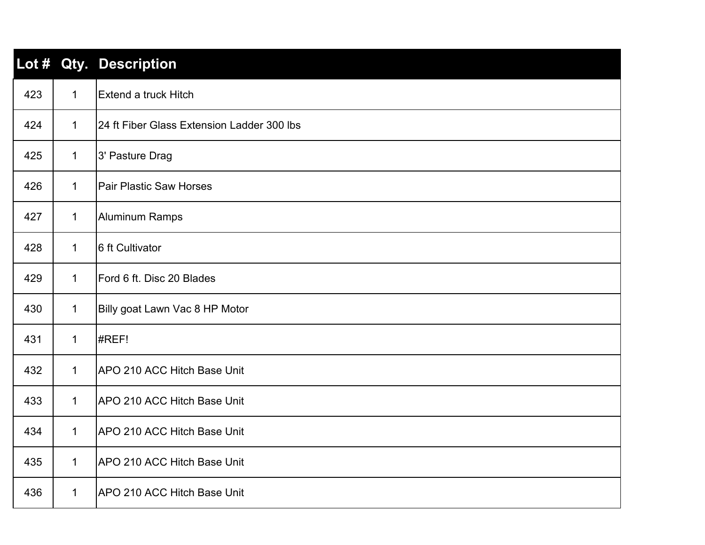| Lot # |              | <b>Qty. Description</b>                    |
|-------|--------------|--------------------------------------------|
| 423   | $\mathbf 1$  | Extend a truck Hitch                       |
| 424   | $\mathbf 1$  | 24 ft Fiber Glass Extension Ladder 300 lbs |
| 425   | $\mathbf{1}$ | 3' Pasture Drag                            |
| 426   | $\mathbf{1}$ | <b>Pair Plastic Saw Horses</b>             |
| 427   | $\mathbf{1}$ | Aluminum Ramps                             |
| 428   | $\mathbf{1}$ | 6 ft Cultivator                            |
| 429   | $\mathbf 1$  | Ford 6 ft. Disc 20 Blades                  |
| 430   | $\mathbf{1}$ | Billy goat Lawn Vac 8 HP Motor             |
| 431   | $\mathbf 1$  | #REF!                                      |
| 432   | $\mathbf{1}$ | APO 210 ACC Hitch Base Unit                |
| 433   | 1            | APO 210 ACC Hitch Base Unit                |
| 434   | $\mathbf 1$  | APO 210 ACC Hitch Base Unit                |
| 435   | $\mathbf 1$  | APO 210 ACC Hitch Base Unit                |
| 436   | $\mathbf 1$  | APO 210 ACC Hitch Base Unit                |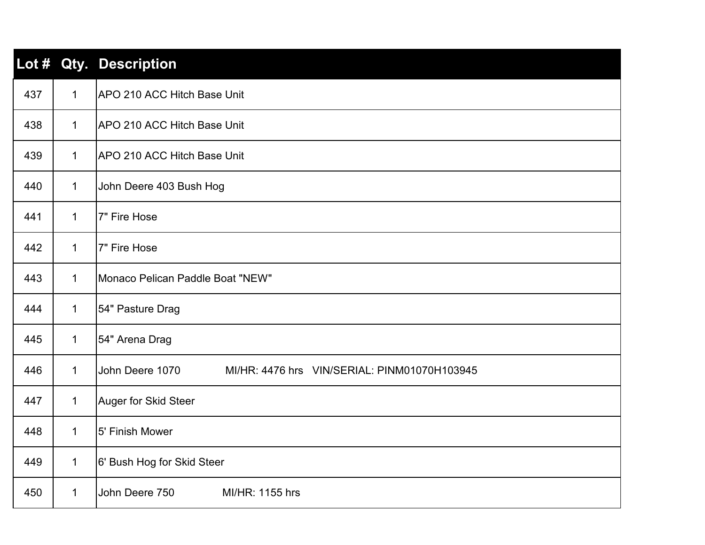| Lot # |              | Qty. Description                                                |
|-------|--------------|-----------------------------------------------------------------|
| 437   | $\mathbf{1}$ | APO 210 ACC Hitch Base Unit                                     |
| 438   | $\mathbf{1}$ | APO 210 ACC Hitch Base Unit                                     |
| 439   | $\mathbf{1}$ | APO 210 ACC Hitch Base Unit                                     |
| 440   | $\mathbf{1}$ | John Deere 403 Bush Hog                                         |
| 441   | $\mathbf{1}$ | 7" Fire Hose                                                    |
| 442   | $\mathbf{1}$ | 7" Fire Hose                                                    |
| 443   | $\mathbf 1$  | Monaco Pelican Paddle Boat "NEW"                                |
| 444   | $\mathbf 1$  | 54" Pasture Drag                                                |
| 445   | $\mathbf{1}$ | 54" Arena Drag                                                  |
| 446   | $\mathbf{1}$ | John Deere 1070<br>MI/HR: 4476 hrs VIN/SERIAL: PINM01070H103945 |
| 447   | 1            | Auger for Skid Steer                                            |
| 448   | $\mathbf 1$  | 5' Finish Mower                                                 |
| 449   | $\mathbf 1$  | 6' Bush Hog for Skid Steer                                      |
| 450   | $\mathbf 1$  | John Deere 750<br>MI/HR: 1155 hrs                               |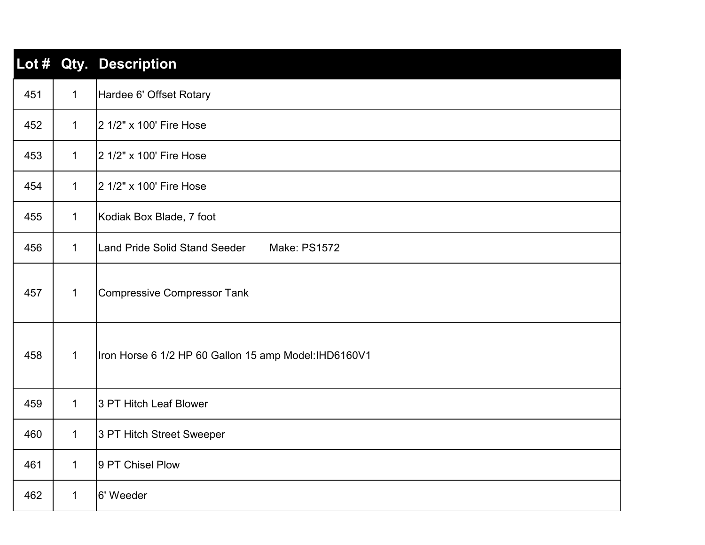| Lot $#$ |              | <b>Qty. Description</b>                               |
|---------|--------------|-------------------------------------------------------|
| 451     | $\mathbf 1$  | Hardee 6' Offset Rotary                               |
| 452     | $\mathbf 1$  | 2 1/2" x 100' Fire Hose                               |
| 453     | $\mathbf 1$  | 2 1/2" x 100' Fire Hose                               |
| 454     | $\mathbf{1}$ | 2 1/2" x 100' Fire Hose                               |
| 455     | $\mathbf 1$  | Kodiak Box Blade, 7 foot                              |
| 456     | $\mathbf{1}$ | <b>Land Pride Solid Stand Seeder</b><br>Make: PS1572  |
| 457     | $\mathbf{1}$ | <b>Compressive Compressor Tank</b>                    |
| 458     | $\mathbf{1}$ | Iron Horse 6 1/2 HP 60 Gallon 15 amp Model: IHD6160V1 |
| 459     | $\mathbf{1}$ | 3 PT Hitch Leaf Blower                                |
| 460     | $\mathbf 1$  | 3 PT Hitch Street Sweeper                             |
| 461     | $\mathbf 1$  | 9 PT Chisel Plow                                      |
| 462     | $\mathbf 1$  | 6' Weeder                                             |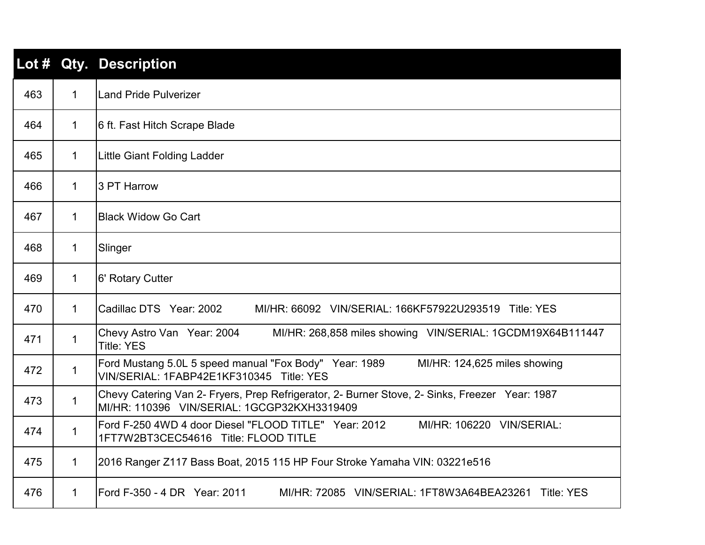|     |              | Lot # Qty. Description                                                                                                                        |
|-----|--------------|-----------------------------------------------------------------------------------------------------------------------------------------------|
| 463 | $\mathbf{1}$ | Land Pride Pulverizer                                                                                                                         |
| 464 | $\mathbf 1$  | 6 ft. Fast Hitch Scrape Blade                                                                                                                 |
| 465 | $\mathbf 1$  | Little Giant Folding Ladder                                                                                                                   |
| 466 | $\mathbf{1}$ | 3 PT Harrow                                                                                                                                   |
| 467 | 1            | <b>Black Widow Go Cart</b>                                                                                                                    |
| 468 | 1            | Slinger                                                                                                                                       |
| 469 | $\mathbf{1}$ | 6' Rotary Cutter                                                                                                                              |
| 470 | $\mathbf 1$  | Cadillac DTS Year: 2002<br>MI/HR: 66092 VIN/SERIAL: 166KF57922U293519 Title: YES                                                              |
| 471 | 1            | Chevy Astro Van Year: 2004<br>MI/HR: 268,858 miles showing VIN/SERIAL: 1GCDM19X64B111447<br><b>Title: YES</b>                                 |
| 472 | 1            | Ford Mustang 5.0L 5 speed manual "Fox Body" Year: 1989<br>MI/HR: 124,625 miles showing<br>VIN/SERIAL: 1FABP42E1KF310345 Title: YES            |
| 473 | $\mathbf{1}$ | Chevy Catering Van 2- Fryers, Prep Refrigerator, 2- Burner Stove, 2- Sinks, Freezer Year: 1987<br>MI/HR: 110396 VIN/SERIAL: 1GCGP32KXH3319409 |
| 474 | $\mathbf{1}$ | Ford F-250 4WD 4 door Diesel "FLOOD TITLE" Year: 2012<br>MI/HR: 106220 VIN/SERIAL:<br>1FT7W2BT3CEC54616 Title: FLOOD TITLE                    |
| 475 | $\mathbf{1}$ | 2016 Ranger Z117 Bass Boat, 2015 115 HP Four Stroke Yamaha VIN: 03221e516                                                                     |
| 476 | $\mathbf 1$  | Ford F-350 - 4 DR Year: 2011<br>MI/HR: 72085 VIN/SERIAL: 1FT8W3A64BEA23261 Title: YES                                                         |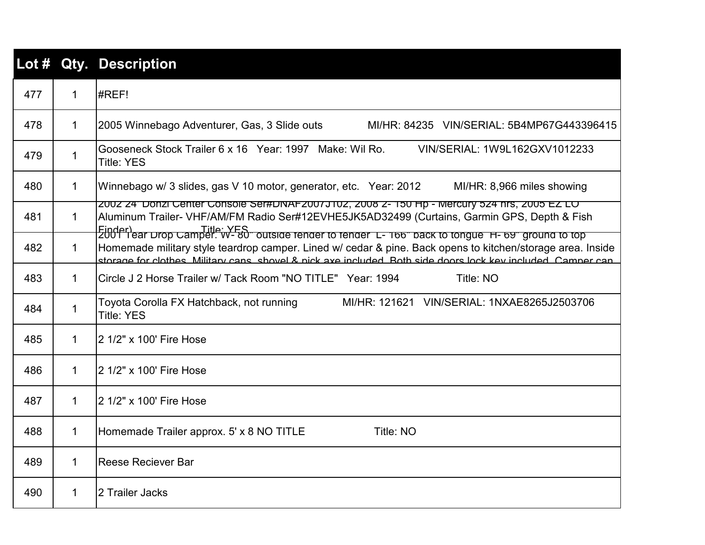|     |              | Lot # Qty. Description                                                                                                                                                                                                                                                                          |
|-----|--------------|-------------------------------------------------------------------------------------------------------------------------------------------------------------------------------------------------------------------------------------------------------------------------------------------------|
| 477 | $\mathbf{1}$ | #REF!                                                                                                                                                                                                                                                                                           |
| 478 | 1            | 2005 Winnebago Adventurer, Gas, 3 Slide outs<br>MI/HR: 84235 VIN/SERIAL: 5B4MP67G443396415                                                                                                                                                                                                      |
| 479 | $\mathbf{1}$ | Gooseneck Stock Trailer 6 x 16 Year: 1997 Make: Wil Ro.<br>VIN/SERIAL: 1W9L162GXV1012233<br><b>Title: YES</b>                                                                                                                                                                                   |
| 480 | $\mathbf 1$  | Winnebago w/ 3 slides, gas V 10 motor, generator, etc. Year: 2012<br>MI/HR: 8,966 miles showing                                                                                                                                                                                                 |
| 481 | $\mathbf 1$  | ZUUZ Z4 DONZI CENIEF CONSOIE SEI#DINAFZUU7JTUZ, ZUU8 Z- T50 HP - MEICUIY 5Z4 NIS, ZUU5 EZ LO<br>Aluminum Trailer- VHF/AM/FM Radio Ser#12EVHE5JK5AD32499 (Curtains, Garmin GPS, Depth & Fish<br>Einderlear prop Camper. VES outside render to render L- 166" back to tongue H- 69" ground to top |
| 482 | $\mathbf 1$  | Homemade military style teardrop camper. Lined w/ cedar & pine. Back opens to kitchen/storage area. Inside<br>storage for clothes. Military cans, shovel & nick axe included. Both side doors lock key included. Camper can                                                                     |
| 483 | $\mathbf 1$  | Circle J 2 Horse Trailer w/ Tack Room "NO TITLE" Year: 1994<br>Title: NO                                                                                                                                                                                                                        |
| 484 | $\mathbf 1$  | Toyota Corolla FX Hatchback, not running<br>MI/HR: 121621 VIN/SERIAL: 1NXAE8265J2503706<br><b>Title: YES</b>                                                                                                                                                                                    |
| 485 | $\mathbf 1$  | 2 1/2" x 100' Fire Hose                                                                                                                                                                                                                                                                         |
| 486 | $\mathbf{1}$ | 2 1/2" x 100' Fire Hose                                                                                                                                                                                                                                                                         |
| 487 | $\mathbf 1$  | 2 1/2" x 100' Fire Hose                                                                                                                                                                                                                                                                         |
| 488 | $\mathbf 1$  | Homemade Trailer approx. 5' x 8 NO TITLE<br>Title: NO                                                                                                                                                                                                                                           |
| 489 | 1            | <b>Reese Reciever Bar</b>                                                                                                                                                                                                                                                                       |
| 490 | $\mathbf 1$  | 2 Trailer Jacks                                                                                                                                                                                                                                                                                 |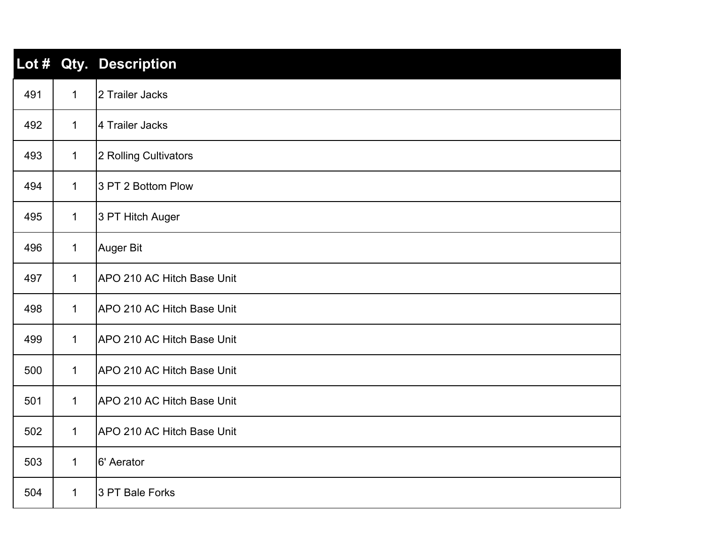| Lot # |              | <b>Qty. Description</b>    |
|-------|--------------|----------------------------|
| 491   | $\mathbf 1$  | 2 Trailer Jacks            |
| 492   | $\mathbf{1}$ | 4 Trailer Jacks            |
| 493   | $\mathbf{1}$ | 2 Rolling Cultivators      |
| 494   | $\mathbf{1}$ | 3 PT 2 Bottom Plow         |
| 495   | $\mathbf{1}$ | 3 PT Hitch Auger           |
| 496   | $\mathbf 1$  | <b>Auger Bit</b>           |
| 497   | $\mathbf{1}$ | APO 210 AC Hitch Base Unit |
| 498   | $\mathbf{1}$ | APO 210 AC Hitch Base Unit |
| 499   | $\mathbf 1$  | APO 210 AC Hitch Base Unit |
| 500   | $\mathbf{1}$ | APO 210 AC Hitch Base Unit |
| 501   | $\mathbf 1$  | APO 210 AC Hitch Base Unit |
| 502   | $\mathbf{1}$ | APO 210 AC Hitch Base Unit |
| 503   | $\mathbf{1}$ | 6' Aerator                 |
| 504   | $\mathbf 1$  | 3 PT Bale Forks            |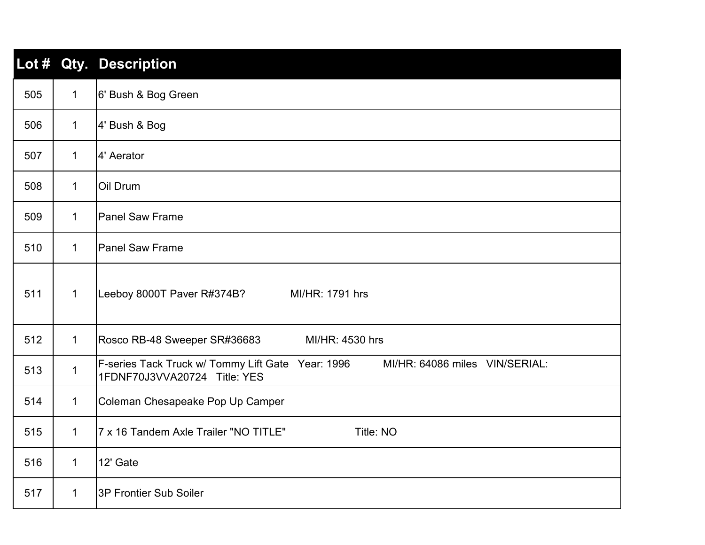| Lot # |              | <b>Qty. Description</b>                                                                                             |
|-------|--------------|---------------------------------------------------------------------------------------------------------------------|
| 505   | $\mathbf{1}$ | 6' Bush & Bog Green                                                                                                 |
| 506   | $\mathbf 1$  | 4' Bush & Bog                                                                                                       |
| 507   | $\mathbf 1$  | 4' Aerator                                                                                                          |
| 508   | $\mathbf 1$  | Oil Drum                                                                                                            |
| 509   | $\mathbf{1}$ | <b>Panel Saw Frame</b>                                                                                              |
| 510   | $\mathbf{1}$ | Panel Saw Frame                                                                                                     |
| 511   | $\mathbf{1}$ | Leeboy 8000T Paver R#374B?<br>MI/HR: 1791 hrs                                                                       |
| 512   | $\mathbf{1}$ | Rosco RB-48 Sweeper SR#36683<br>MI/HR: 4530 hrs                                                                     |
| 513   | $\mathbf 1$  | F-series Tack Truck w/ Tommy Lift Gate Year: 1996<br>MI/HR: 64086 miles VIN/SERIAL:<br>1FDNF70J3VVA20724 Title: YES |
| 514   | $\mathbf{1}$ | Coleman Chesapeake Pop Up Camper                                                                                    |
| 515   | $\mathbf{1}$ | 7 x 16 Tandem Axle Trailer "NO TITLE"<br>Title: NO                                                                  |
| 516   | $\mathbf 1$  | 12' Gate                                                                                                            |
| 517   | $\mathbf 1$  | 3P Frontier Sub Soiler                                                                                              |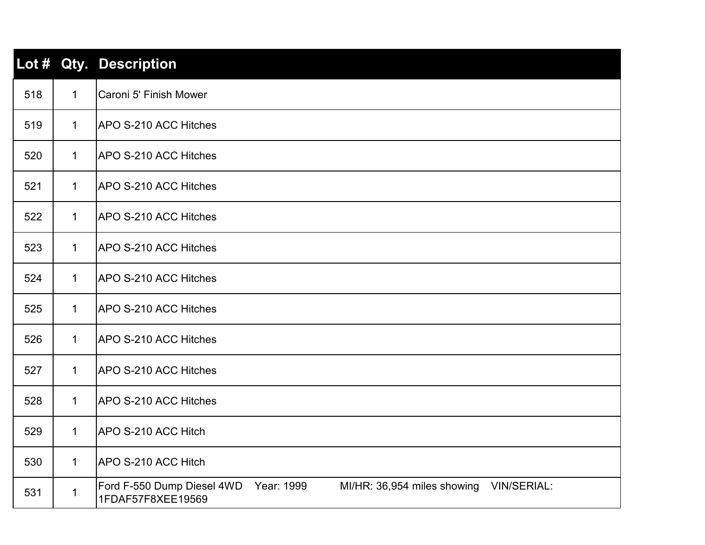|     |              | Lot # Qty. Description                                                                                   |
|-----|--------------|----------------------------------------------------------------------------------------------------------|
| 518 | $\mathbf 1$  | Caroni 5' Finish Mower                                                                                   |
| 519 | $\mathbf 1$  | <b>APO S-210 ACC Hitches</b>                                                                             |
| 520 | $\mathbf 1$  | APO S-210 ACC Hitches                                                                                    |
| 521 | $\mathbf{1}$ | APO S-210 ACC Hitches                                                                                    |
| 522 | $\mathbf 1$  | APO S-210 ACC Hitches                                                                                    |
| 523 | $\mathbf 1$  | <b>APO S-210 ACC Hitches</b>                                                                             |
| 524 | $\mathbf 1$  | APO S-210 ACC Hitches                                                                                    |
| 525 | $\mathbf 1$  | APO S-210 ACC Hitches                                                                                    |
| 526 | $\mathbf 1$  | APO S-210 ACC Hitches                                                                                    |
| 527 | $\mathbf 1$  | APO S-210 ACC Hitches                                                                                    |
| 528 | $\mathbf{1}$ | APO S-210 ACC Hitches                                                                                    |
| 529 | $\mathbf 1$  | APO S-210 ACC Hitch                                                                                      |
| 530 | $\mathbf{1}$ | APO S-210 ACC Hitch                                                                                      |
| 531 | 1            | Year: 1999<br>Ford F-550 Dump Diesel 4WD<br>MI/HR: 36,954 miles showing VIN/SERIAL:<br>1FDAF57F8XEE19569 |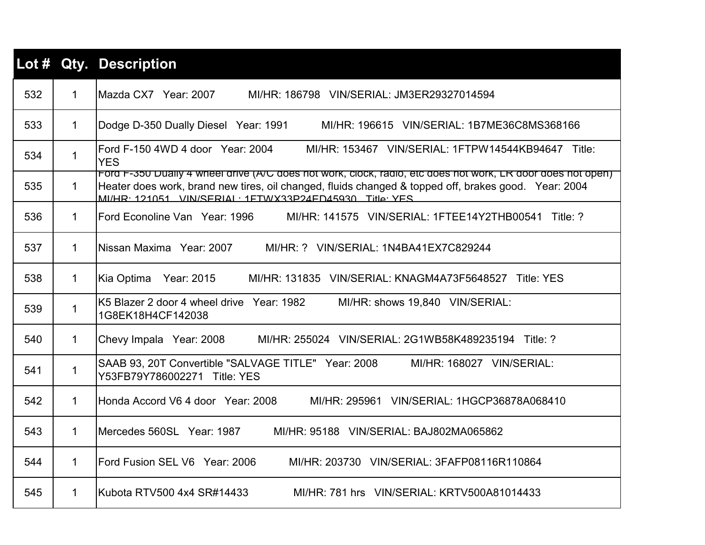|     |              | Lot # Qty. Description                                                                                                                                                                                                                                                         |
|-----|--------------|--------------------------------------------------------------------------------------------------------------------------------------------------------------------------------------------------------------------------------------------------------------------------------|
| 532 | $\mathbf{1}$ | MI/HR: 186798 VIN/SERIAL: JM3ER29327014594                                                                                                                                                                                                                                     |
| 533 | $\mathbf 1$  | Dodge D-350 Dually Diesel Year: 1991<br>MI/HR: 196615 VIN/SERIAL: 1B7ME36C8MS368166                                                                                                                                                                                            |
| 534 | $\mathbf{1}$ | IFord F-150 4WD 4 door Year: 2004<br>MI/HR: 153467 VIN/SERIAL: 1FTPW14544KB94647 Title:<br><b>YES</b>                                                                                                                                                                          |
| 535 | $\mathbf 1$  | Ford F-350 Dually 4 Wheel drive (A/C does not work, clock, radio, etc does not work, LR door does not open)<br>Heater does work, brand new tires, oil changed, fluids changed & topped off, brakes good. Year: 2004<br>MI/HR· 121051 VIN/SERIAI · 1FTWX33P24FD45930 Title: YES |
| 536 | $\mathbf{1}$ | lFord Econoline Van   Year: 1996<br>MI/HR: 141575 VIN/SERIAL: 1FTEE14Y2THB00541 Title: ?                                                                                                                                                                                       |
| 537 | $\mathbf 1$  | MI/HR: ? VIN/SERIAL: 1N4BA41EX7C829244                                                                                                                                                                                                                                         |
| 538 | $\mathbf{1}$ | Kia Optima Year: 2015<br>MI/HR: 131835 VIN/SERIAL: KNAGM4A73F5648527 Title: YES                                                                                                                                                                                                |
| 539 | $\mathbf 1$  | K5 Blazer 2 door 4 wheel drive Year: 1982<br>MI/HR: shows 19,840 VIN/SERIAL:<br>1G8EK18H4CF142038                                                                                                                                                                              |
| 540 | $\mathbf{1}$ | Chevy Impala Year: 2008<br>MI/HR: 255024 VIN/SERIAL: 2G1WB58K489235194 Title: ?                                                                                                                                                                                                |
| 541 | $\mathbf 1$  | SAAB 93, 20T Convertible "SALVAGE TITLE" Year: 2008<br>MI/HR: 168027 VIN/SERIAL:<br>Y53FB79Y786002271 Title: YES                                                                                                                                                               |
| 542 | $\mathbf{1}$ | Honda Accord V6 4 door Year: 2008<br>MI/HR: 295961 VIN/SERIAL: 1HGCP36878A068410                                                                                                                                                                                               |
| 543 | $\mathbf{1}$ | IMercedes 560SL Year: 1987<br>MI/HR: 95188 VIN/SERIAL: BAJ802MA065862                                                                                                                                                                                                          |
| 544 | $\mathbf{1}$ | Ford Fusion SEL V6 Year: 2006<br>MI/HR: 203730 VIN/SERIAL: 3FAFP08116R110864                                                                                                                                                                                                   |
| 545 | $\mathbf{1}$ | lKubota RTV500 4x4 SR#14433<br>MI/HR: 781 hrs VIN/SERIAL: KRTV500A81014433                                                                                                                                                                                                     |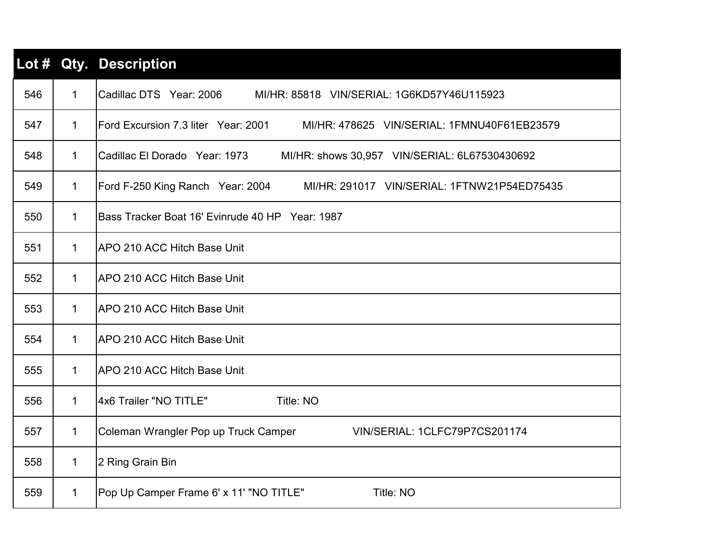|     |              | Lot # Qty. Description                                                             |
|-----|--------------|------------------------------------------------------------------------------------|
| 546 | $\mathbf 1$  | Cadillac DTS Year: 2006<br>MI/HR: 85818 VIN/SERIAL: 1G6KD57Y46U115923              |
| 547 | $\mathbf{1}$ | Ford Excursion 7.3 liter Year: 2001<br>MI/HR: 478625 VIN/SERIAL: 1FMNU40F61EB23579 |
| 548 | $\mathbf{1}$ | Cadillac El Dorado   Year: 1973<br>MI/HR: shows 30,957 VIN/SERIAL: 6L67530430692   |
| 549 | $\mathbf{1}$ | Ford F-250 King Ranch Year: 2004 MI/HR: 291017 VIN/SERIAL: 1FTNW21P54ED75435       |
| 550 | $\mathbf{1}$ | Bass Tracker Boat 16' Evinrude 40 HP Year: 1987                                    |
| 551 | $\mathbf{1}$ | <b>IAPO 210 ACC Hitch Base Unit</b>                                                |
| 552 | $\mathbf{1}$ | <b>APO 210 ACC Hitch Base Unit</b>                                                 |
| 553 | $\mathbf{1}$ | <b>APO 210 ACC Hitch Base Unit</b>                                                 |
| 554 | $\mathbf{1}$ | IAPO 210 ACC Hitch Base Unit                                                       |
| 555 | $\mathbf{1}$ | <b>APO 210 ACC Hitch Base Unit</b>                                                 |
| 556 | $\mathbf 1$  | 4x6 Trailer "NO TITLE"<br>Title: NO                                                |
| 557 | $\mathbf{1}$ | Coleman Wrangler Pop up Truck Camper<br>VIN/SERIAL: 1CLFC79P7CS201174              |
| 558 | 1            | 2 Ring Grain Bin                                                                   |
| 559 | $\mathbf{1}$ | Pop Up Camper Frame 6' x 11' "NO TITLE"<br>Title: NO                               |